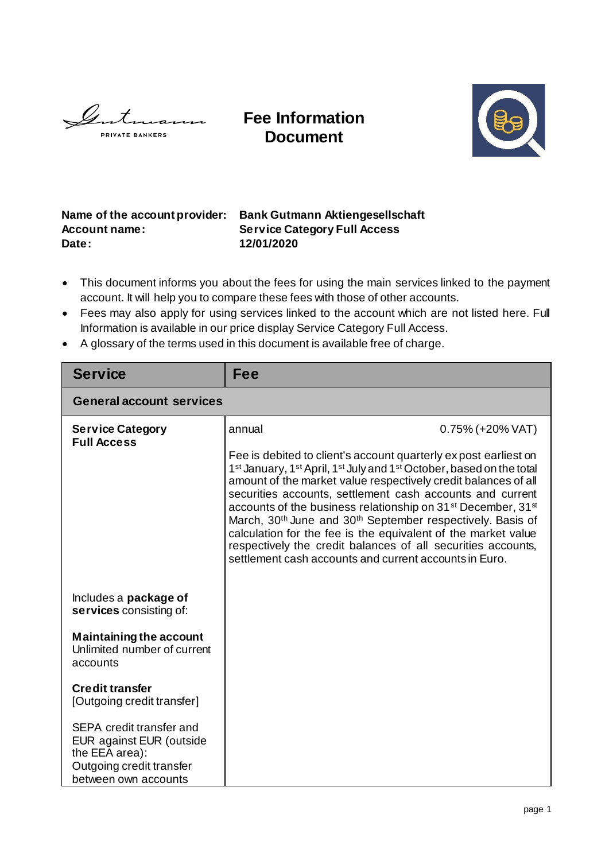$\mathscr{L}$  $\overline{\phantom{a}}$ **PRIVATE BANKERS** 

**Fee Information Document**



## **Name of the account provider: Bank Gutmann Aktiengesellschaft Account name: Service Category Full Access Date: 12/01/2020**

- This document informs you about the fees for using the main services linked to the payment account. It will help you to compare these fees with those of other accounts.
- Fees may also apply for using services linked to the account which are not listed here. Full Information is available in our price display Service Category Full Access.
- A glossary of the terms used in this document is available free of charge.

| <b>Service</b>                                                                                                             | Fee                                                                                                                                                                                                                                                                                                                                                                                                                                                                                                                                                                                                                                                                                             |                     |  |  |
|----------------------------------------------------------------------------------------------------------------------------|-------------------------------------------------------------------------------------------------------------------------------------------------------------------------------------------------------------------------------------------------------------------------------------------------------------------------------------------------------------------------------------------------------------------------------------------------------------------------------------------------------------------------------------------------------------------------------------------------------------------------------------------------------------------------------------------------|---------------------|--|--|
| <b>General account services</b>                                                                                            |                                                                                                                                                                                                                                                                                                                                                                                                                                                                                                                                                                                                                                                                                                 |                     |  |  |
| <b>Service Category</b><br><b>Full Access</b>                                                                              | annual                                                                                                                                                                                                                                                                                                                                                                                                                                                                                                                                                                                                                                                                                          | $0.75\%$ (+20% VAT) |  |  |
|                                                                                                                            | Fee is debited to client's account quarterly expost earliest on<br>1 <sup>st</sup> January, 1 <sup>st</sup> April, 1 <sup>st</sup> July and 1 <sup>st</sup> October, based on the total<br>amount of the market value respectively credit balances of all<br>securities accounts, settlement cash accounts and current<br>accounts of the business relationship on 31 <sup>st</sup> December, 31 <sup>st</sup><br>March, 30 <sup>th</sup> June and 30 <sup>th</sup> September respectively. Basis of<br>calculation for the fee is the equivalent of the market value<br>respectively the credit balances of all securities accounts,<br>settlement cash accounts and current accounts in Euro. |                     |  |  |
| Includes a <b>package of</b><br>services consisting of:                                                                    |                                                                                                                                                                                                                                                                                                                                                                                                                                                                                                                                                                                                                                                                                                 |                     |  |  |
| <b>Maintaining the account</b><br>Unlimited number of current<br>accounts                                                  |                                                                                                                                                                                                                                                                                                                                                                                                                                                                                                                                                                                                                                                                                                 |                     |  |  |
| <b>Credit transfer</b><br>[Outgoing credit transfer]                                                                       |                                                                                                                                                                                                                                                                                                                                                                                                                                                                                                                                                                                                                                                                                                 |                     |  |  |
| SEPA credit transfer and<br>EUR against EUR (outside<br>the EEA area):<br>Outgoing credit transfer<br>between own accounts |                                                                                                                                                                                                                                                                                                                                                                                                                                                                                                                                                                                                                                                                                                 |                     |  |  |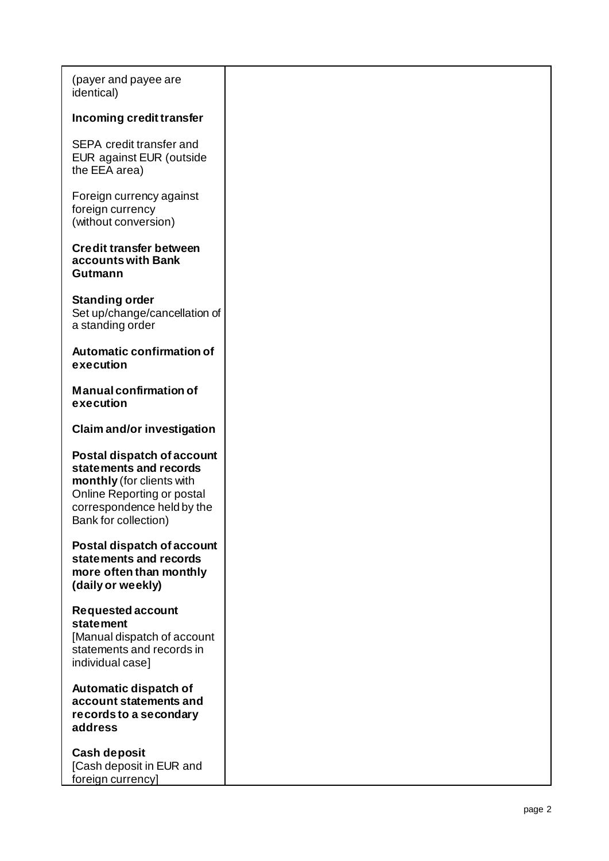| (payer and payee are<br>identical)                                                                                                                                           |  |
|------------------------------------------------------------------------------------------------------------------------------------------------------------------------------|--|
| Incoming credit transfer                                                                                                                                                     |  |
| SEPA credit transfer and<br>EUR against EUR (outside<br>the EEA area)                                                                                                        |  |
| Foreign currency against<br>foreign currency<br>(without conversion)                                                                                                         |  |
| <b>Credit transfer between</b><br>accounts with Bank<br>Gutmann                                                                                                              |  |
| <b>Standing order</b><br>Set up/change/cancellation of<br>a standing order                                                                                                   |  |
| <b>Automatic confirmation of</b><br>execution                                                                                                                                |  |
| <b>Manual confirmation of</b><br>execution                                                                                                                                   |  |
| <b>Claim and/or investigation</b>                                                                                                                                            |  |
| <b>Postal dispatch of account</b><br>statements and records<br>monthly (for clients with<br>Online Reporting or postal<br>correspondence held by the<br>Bank for collection) |  |
| Postal dispatch of account<br>statements and records<br>more often than monthly<br>(daily or weekly)                                                                         |  |
| <b>Requested account</b><br><b>statement</b><br>[Manual dispatch of account<br>statements and records in<br>individual case]                                                 |  |
| Automatic dispatch of<br>account statements and<br>records to a secondary<br>address                                                                                         |  |
| <b>Cash deposit</b><br>[Cash deposit in EUR and<br>foreign currency]                                                                                                         |  |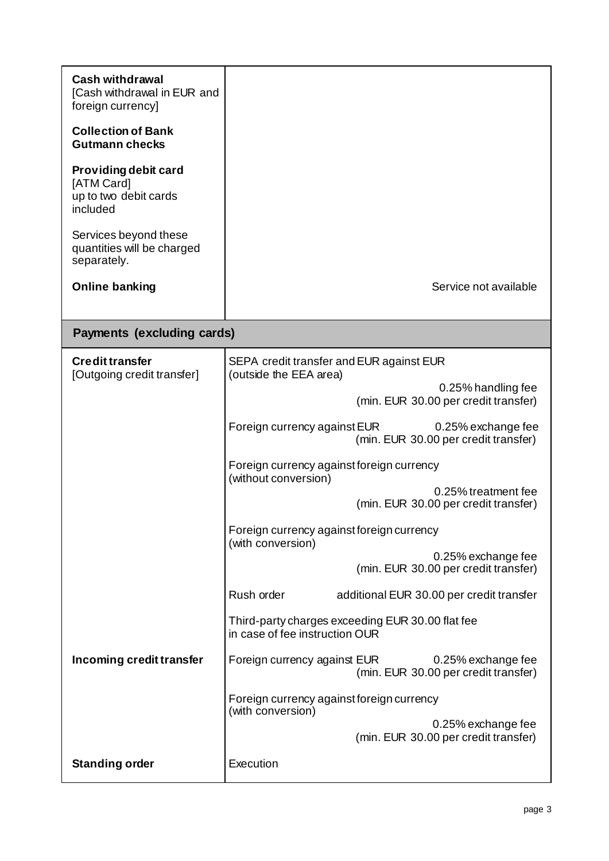| <b>Cash withdrawal</b><br>[Cash withdrawal in EUR and<br>foreign currency] |                                                                                            |  |  |  |
|----------------------------------------------------------------------------|--------------------------------------------------------------------------------------------|--|--|--|
| <b>Collection of Bank</b><br><b>Gutmann checks</b>                         |                                                                                            |  |  |  |
| Providing debit card<br>[ATM Card]<br>up to two debit cards<br>included    |                                                                                            |  |  |  |
| Services beyond these<br>quantities will be charged<br>separately.         |                                                                                            |  |  |  |
| <b>Online banking</b>                                                      | Service not available                                                                      |  |  |  |
| <b>Payments (excluding cards)</b>                                          |                                                                                            |  |  |  |
| <b>Credit transfer</b>                                                     | SEPA credit transfer and EUR against EUR                                                   |  |  |  |
| [Outgoing credit transfer]                                                 | (outside the EEA area)<br>0.25% handling fee<br>(min. EUR 30.00 per credit transfer)       |  |  |  |
|                                                                            | Foreign currency against EUR<br>0.25% exchange fee<br>(min. EUR 30.00 per credit transfer) |  |  |  |
|                                                                            | Foreign currency against foreign currency<br>(without conversion)                          |  |  |  |
|                                                                            | 0.25% treatment fee<br>(min. EUR 30.00 per credit transfer)                                |  |  |  |
|                                                                            | Foreign currency against foreign currency<br>(with conversion)                             |  |  |  |
|                                                                            | 0.25% exchange fee<br>(min. EUR 30.00 per credit transfer)                                 |  |  |  |
|                                                                            | Rush order<br>additional EUR 30.00 per credit transfer                                     |  |  |  |
|                                                                            | Third-party charges exceeding EUR 30.00 flat fee<br>in case of fee instruction OUR         |  |  |  |
| Incoming credit transfer                                                   | Foreign currency against EUR<br>0.25% exchange fee<br>(min. EUR 30.00 per credit transfer) |  |  |  |
|                                                                            | Foreign currency against foreign currency<br>(with conversion)                             |  |  |  |
|                                                                            | 0.25% exchange fee<br>(min. EUR 30.00 per credit transfer)                                 |  |  |  |
| <b>Standing order</b>                                                      | Execution                                                                                  |  |  |  |